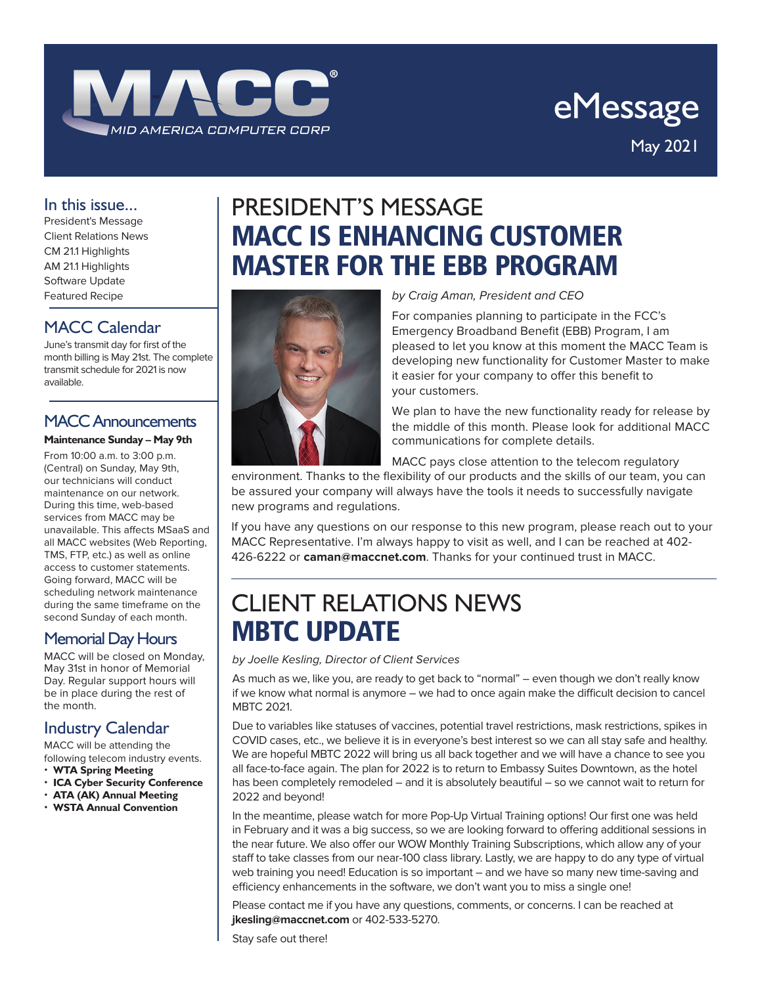

# eMessage May 2021

#### In this issue...

President's Message Client Relations News CM 21.1 Highlights AM 21.1 Highlights Software Update Featured Recipe

#### MACC Calendar

June's transmit day for first of the month billing is May 21st. The complete transmit schedule for 2021 is now available.

#### MACC Announcements

#### **Maintenance Sunday – May 9th**

From 10:00 a.m. to 3:00 p.m. (Central) on Sunday, May 9th, our technicians will conduct maintenance on our network. During this time, web-based services from MACC may be unavailable. This affects MSaaS and all MACC websites (Web Reporting, TMS, FTP, etc.) as well as online access to customer statements. Going forward, MACC will be scheduling network maintenance during the same timeframe on the second Sunday of each month.

#### Memorial Day Hours

MACC will be closed on Monday, May 31st in honor of Memorial Day. Regular support hours will be in place during the rest of the month.

#### Industry Calendar

MACC will be attending the following telecom industry events.

- **WTA Spring Meeting**
- **ICA Cyber Security Conference**
- **ATA (AK) Annual Meeting** • **WSTA Annual Convention**

## PRESIDENT'S MESSAGE MACC IS ENHANCING CUSTOMER MASTER FOR THE EBB PROGRAM



#### *by Craig Aman, President and CEO*

For companies planning to participate in the FCC's Emergency Broadband Benefit (EBB) Program, I am pleased to let you know at this moment the MACC Team is developing new functionality for Customer Master to make it easier for your company to offer this benefit to your customers.

We plan to have the new functionality ready for release by the middle of this month. Please look for additional MACC communications for complete details.

MACC pays close attention to the telecom regulatory

environment. Thanks to the flexibility of our products and the skills of our team, you can be assured your company will always have the tools it needs to successfully navigate new programs and regulations.

If you have any questions on our response to this new program, please reach out to your MACC Representative. I'm always happy to visit as well, and I can be reached at 402- 426-6222 or **caman@maccnet.com**. Thanks for your continued trust in MACC.

## CLIENT RELATIONS NEWS MBTC UPDATE

*by Joelle Kesling, Director of Client Services*

As much as we, like you, are ready to get back to "normal" – even though we don't really know if we know what normal is anymore – we had to once again make the difficult decision to cancel MBTC 2021.

Due to variables like statuses of vaccines, potential travel restrictions, mask restrictions, spikes in COVID cases, etc., we believe it is in everyone's best interest so we can all stay safe and healthy. We are hopeful MBTC 2022 will bring us all back together and we will have a chance to see you all face-to-face again. The plan for 2022 is to return to Embassy Suites Downtown, as the hotel has been completely remodeled – and it is absolutely beautiful – so we cannot wait to return for 2022 and beyond!

In the meantime, please watch for more Pop-Up Virtual Training options! Our first one was held in February and it was a big success, so we are looking forward to offering additional sessions in the near future. We also offer our WOW Monthly Training Subscriptions, which allow any of your staff to take classes from our near-100 class library. Lastly, we are happy to do any type of virtual web training you need! Education is so important – and we have so many new time-saving and efficiency enhancements in the software, we don't want you to miss a single one!

Please contact me if you have any questions, comments, or concerns. I can be reached at **jkesling@maccnet.com** or 402-533-5270.

Stay safe out there!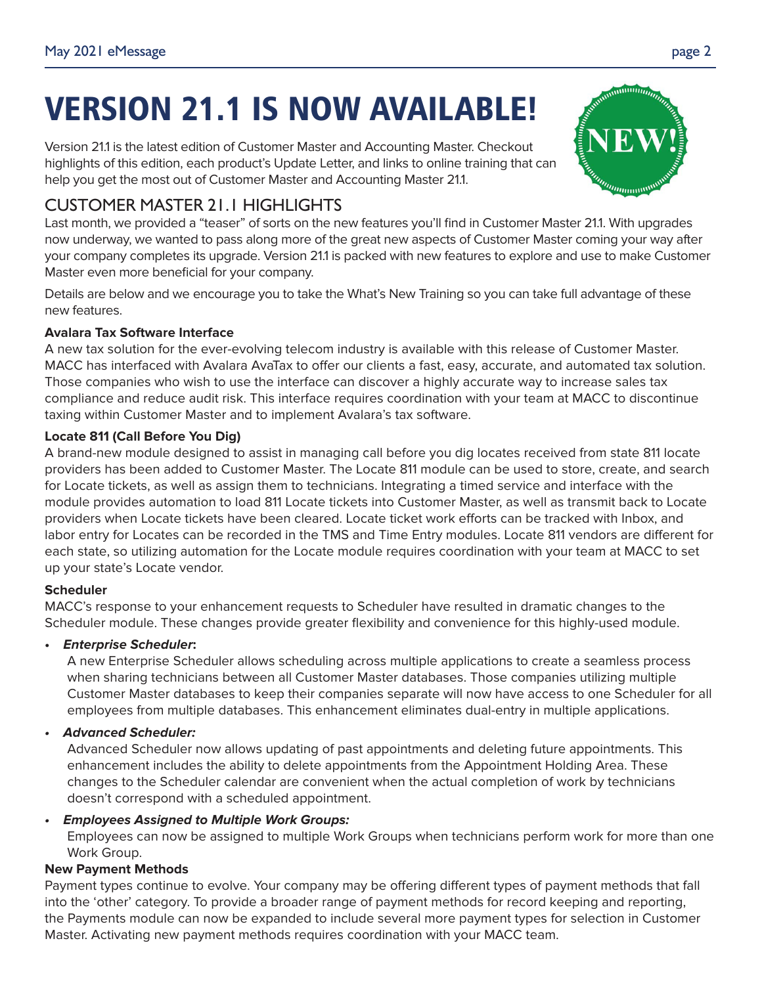# VERSION 21.1 IS NOW AVAILABLE!

Version 21.1 is the latest edition of Customer Master and Accounting Master. Checkout highlights of this edition, each product's Update Letter, and links to online training that can help you get the most out of Customer Master and Accounting Master 21.1.

## CUSTOMER MASTER 21.1 HIGHLIGHTS

Last month, we provided a "teaser" of sorts on the new features you'll find in Customer Master 21.1. With upgrades now underway, we wanted to pass along more of the great new aspects of Customer Master coming your way after your company completes its upgrade. Version 21.1 is packed with new features to explore and use to make Customer Master even more beneficial for your company.

Details are below and we encourage you to take the What's New Training so you can take full advantage of these new features.

#### **Avalara Tax Software Interface**

A new tax solution for the ever-evolving telecom industry is available with this release of Customer Master. MACC has interfaced with Avalara AvaTax to offer our clients a fast, easy, accurate, and automated tax solution. Those companies who wish to use the interface can discover a highly accurate way to increase sales tax compliance and reduce audit risk. This interface requires coordination with your team at MACC to discontinue taxing within Customer Master and to implement Avalara's tax software.

#### **Locate 811 (Call Before You Dig)**

A brand-new module designed to assist in managing call before you dig locates received from state 811 locate providers has been added to Customer Master. The Locate 811 module can be used to store, create, and search for Locate tickets, as well as assign them to technicians. Integrating a timed service and interface with the module provides automation to load 811 Locate tickets into Customer Master, as well as transmit back to Locate providers when Locate tickets have been cleared. Locate ticket work efforts can be tracked with Inbox, and labor entry for Locates can be recorded in the TMS and Time Entry modules. Locate 811 vendors are different for each state, so utilizing automation for the Locate module requires coordination with your team at MACC to set up your state's Locate vendor.

#### **Scheduler**

MACC's response to your enhancement requests to Scheduler have resulted in dramatic changes to the Scheduler module. These changes provide greater flexibility and convenience for this highly-used module.

#### **• Enterprise Scheduler:**

A new Enterprise Scheduler allows scheduling across multiple applications to create a seamless process when sharing technicians between all Customer Master databases. Those companies utilizing multiple Customer Master databases to keep their companies separate will now have access to one Scheduler for all employees from multiple databases. This enhancement eliminates dual-entry in multiple applications.

#### **• Advanced Scheduler:**

Advanced Scheduler now allows updating of past appointments and deleting future appointments. This enhancement includes the ability to delete appointments from the Appointment Holding Area. These changes to the Scheduler calendar are convenient when the actual completion of work by technicians doesn't correspond with a scheduled appointment.

#### **• Employees Assigned to Multiple Work Groups:**

Employees can now be assigned to multiple Work Groups when technicians perform work for more than one Work Group.

#### **New Payment Methods**

Payment types continue to evolve. Your company may be offering different types of payment methods that fall into the 'other' category. To provide a broader range of payment methods for record keeping and reporting, the Payments module can now be expanded to include several more payment types for selection in Customer Master. Activating new payment methods requires coordination with your MACC team.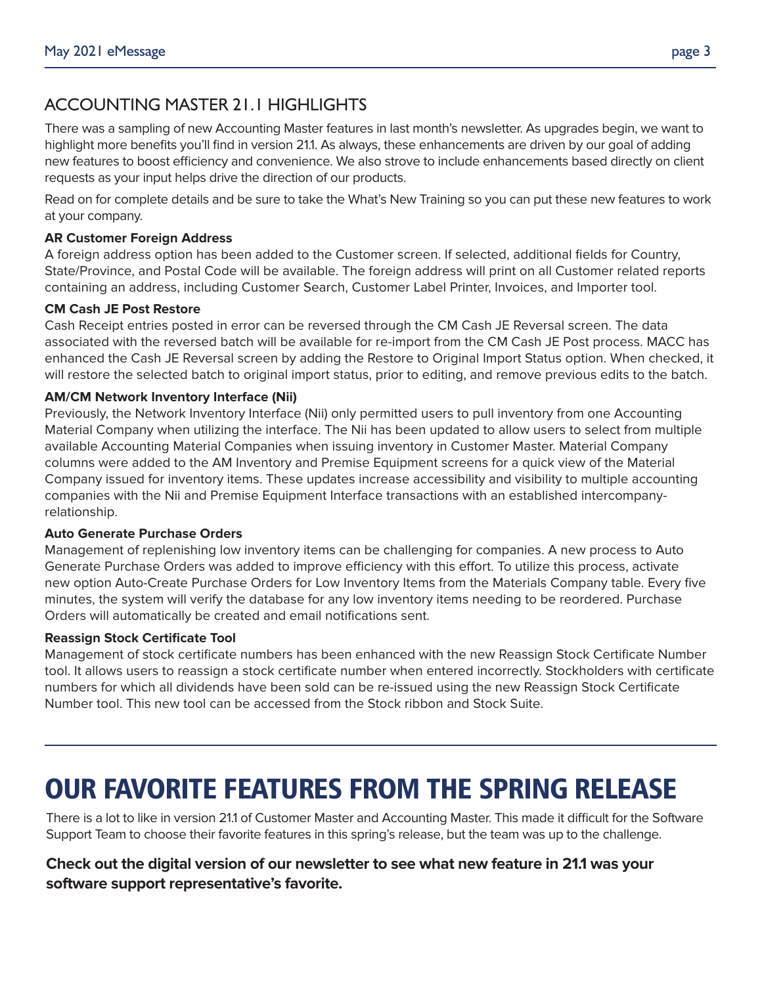### ACCOUNTING MASTER 21.1 HIGHLIGHTS

There was a sampling of new Accounting Master features in last month's newsletter. As upgrades begin, we want to highlight more benefits you'll find in version 21.1. As always, these enhancements are driven by our goal of adding new features to boost efficiency and convenience. We also strove to include enhancements based directly on client requests as your input helps drive the direction of our products.

Read on for complete details and be sure to take the What's New Training so you can put these new features to work at your company.

#### **AR Customer Foreign Address**

A foreign address option has been added to the Customer screen. If selected, additional fields for Country, State/Province, and Postal Code will be available. The foreign address will print on all Customer related reports containing an address, including Customer Search, Customer Label Printer, Invoices, and Importer tool.

#### **CM Cash JE Post Restore**

Cash Receipt entries posted in error can be reversed through the CM Cash JE Reversal screen. The data associated with the reversed batch will be available for re-import from the CM Cash JE Post process. MACC has enhanced the Cash JE Reversal screen by adding the Restore to Original Import Status option. When checked, it will restore the selected batch to original import status, prior to editing, and remove previous edits to the batch.

#### **AM/CM Network Inventory Interface (Nii)**

Previously, the Network Inventory Interface (Nii) only permitted users to pull inventory from one Accounting Material Company when utilizing the interface. The Nii has been updated to allow users to select from multiple available Accounting Material Companies when issuing inventory in Customer Master. Material Company columns were added to the AM Inventory and Premise Equipment screens for a quick view of the Material Company issued for inventory items. These updates increase accessibility and visibility to multiple accounting companies with the Nii and Premise Equipment Interface transactions with an established intercompanyrelationship.

#### **Auto Generate Purchase Orders**

Management of replenishing low inventory items can be challenging for companies. A new process to Auto Generate Purchase Orders was added to improve efficiency with this effort. To utilize this process, activate new option Auto-Create Purchase Orders for Low Inventory Items from the Materials Company table. Every five minutes, the system will verify the database for any low inventory items needing to be reordered. Purchase Orders will automatically be created and email notifications sent.

#### **Reassign Stock Certificate Tool**

Management of stock certificate numbers has been enhanced with the new Reassign Stock Certificate Number tool. It allows users to reassign a stock certificate number when entered incorrectly. Stockholders with certificate numbers for which all dividends have been sold can be re-issued using the new Reassign Stock Certificate Number tool. This new tool can be accessed from the Stock ribbon and Stock Suite.

## OUR FAVORITE FEATURES FROM THE SPRING RELEASE

There is a lot to like in version 21.1 of Customer Master and Accounting Master. This made it difficult for the Software Support Team to choose their favorite features in this spring's release, but the team was up to the challenge.

#### **Check out the digital version of our newsletter to see what new feature in 21.1 was your software support representative's favorite.**